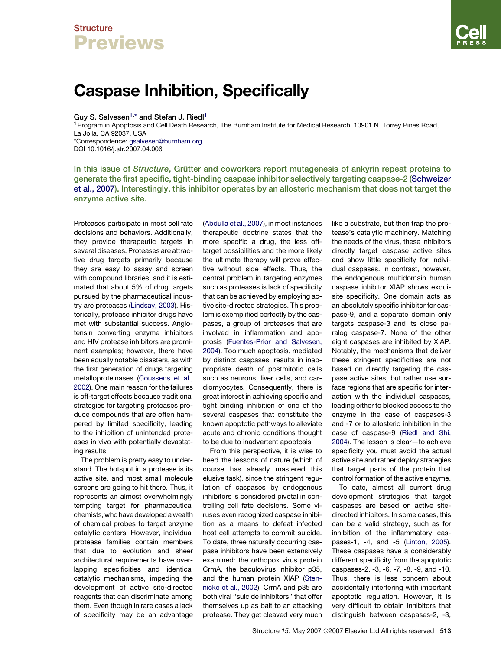## **Structure Previews**

## Caspase Inhibition, Specifically

Guy S. Salvesen<sup>1,\*</sup> and Stefan J. Riedl<sup>1</sup>

<sup>1</sup> Program in Apoptosis and Cell Death Research, The Burnham Institute for Medical Research, 10901 N. Torrey Pines Road, La Jolla, CA 92037, USA \*Correspondence: [gsalvesen@burnham.org](mailto:gsalvesen@burnham.org)

DOI 10.1016/j.str.2007.04.006

In this issue of *Structure*, Grütter and coworkers report mutagenesis of ankyrin repeat proteins to generate the first specific, tight-binding caspase inhibitor selectively targeting caspase-2 ([Schweizer](#page-1-0) [et al., 2007](#page-1-0)). Interestingly, this inhibitor operates by an allosteric mechanism that does not target the enzyme active site.

Proteases participate in most cell fate decisions and behaviors. Additionally, they provide therapeutic targets in several diseases. Proteases are attractive drug targets primarily because they are easy to assay and screen with compound libraries, and it is estimated that about 5% of drug targets pursued by the pharmaceutical industry are proteases [\(Lindsay, 2003](#page-1-0)). Historically, protease inhibitor drugs have met with substantial success. Angiotensin converting enzyme inhibitors and HIV protease inhibitors are prominent examples; however, there have been equally notable disasters, as with the first generation of drugs targeting metalloproteinases [\(Coussens et al.,](#page-1-0) [2002\)](#page-1-0). One main reason for the failures is off-target effects because traditional strategies for targeting proteases produce compounds that are often hampered by limited specificity, leading to the inhibition of unintended proteases in vivo with potentially devastating results.

The problem is pretty easy to understand. The hotspot in a protease is its active site, and most small molecule screens are going to hit there. Thus, it represents an almost overwhelmingly tempting target for pharmaceutical chemists, who have developed a wealth of chemical probes to target enzyme catalytic centers. However, individual protease families contain members that due to evolution and sheer architectural requirements have overlapping specificities and identical catalytic mechanisms, impeding the development of active site-directed reagents that can discriminate among them. Even though in rare cases a lack of specificity may be an advantage ([Abdulla et al., 2007\)](#page-1-0), in most instances therapeutic doctrine states that the more specific a drug, the less offtarget possibilities and the more likely the ultimate therapy will prove effective without side effects. Thus, the central problem in targeting enzymes such as proteases is lack of specificity that can be achieved by employing active site-directed strategies. This problem is exemplified perfectly by the caspases, a group of proteases that are involved in inflammation and apoptosis ([Fuentes-Prior and Salvesen,](#page-1-0) [2004](#page-1-0)). Too much apoptosis, mediated by distinct caspases, results in inappropriate death of postmitotic cells such as neurons, liver cells, and cardiomyocytes. Consequently, there is great interest in achieving specific and tight binding inhibition of one of the several caspases that constitute the known apoptotic pathways to alleviate acute and chronic conditions thought to be due to inadvertent apoptosis.

From this perspective, it is wise to heed the lessons of nature (which of course has already mastered this elusive task), since the stringent regulation of caspases by endogenous inhibitors is considered pivotal in controlling cell fate decisions. Some viruses even recognized caspase inhibition as a means to defeat infected host cell attempts to commit suicide. To date, three naturally occurring caspase inhibitors have been extensively examined: the orthopox virus protein CrmA, the baculovirus inhibitor p35, and the human protein XIAP [\(Sten](#page-1-0)[nicke et al., 2002\)](#page-1-0). CrmA and p35 are both viral ''suicide inhibitors'' that offer themselves up as bait to an attacking protease. They get cleaved very much

like a substrate, but then trap the protease's catalytic machinery. Matching the needs of the virus, these inhibitors directly target caspase active sites and show little specificity for individual caspases. In contrast, however, the endogenous multidomain human caspase inhibitor XIAP shows exquisite specificity. One domain acts as an absolutely specific inhibitor for caspase-9, and a separate domain only targets caspase-3 and its close paralog caspase-7. None of the other eight caspases are inhibited by XIAP. Notably, the mechanisms that deliver these stringent specificities are not based on directly targeting the caspase active sites, but rather use surface regions that are specific for interaction with the individual caspases, leading either to blocked access to the enzyme in the case of caspases-3 and -7 or to allosteric inhibition in the case of caspase-9 [\(Riedl and Shi,](#page-1-0) [2004\)](#page-1-0). The lesson is clear—to achieve specificity you must avoid the actual active site and rather deploy strategies that target parts of the protein that control formation of the active enzyme.

To date, almost all current drug development strategies that target caspases are based on active sitedirected inhibitors. In some cases, this can be a valid strategy, such as for inhibition of the inflammatory caspases-1, -4, and -5 ([Linton, 2005\)](#page-1-0). These caspases have a considerably different specificity from the apoptotic caspases-2, -3, -6, -7, -8, -9, and -10. Thus, there is less concern about accidentally interfering with important apoptotic regulation. However, it is very difficult to obtain inhibitors that distinguish between caspases-2, -3,